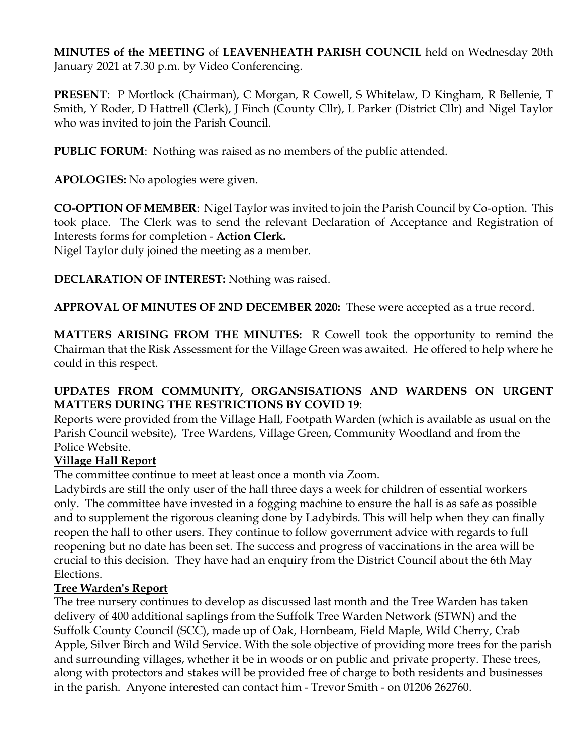**MINUTES of the MEETING** of **LEAVENHEATH PARISH COUNCIL** held on Wednesday 20th January 2021 at 7.30 p.m. by Video Conferencing.

**PRESENT**: P Mortlock (Chairman), C Morgan, R Cowell, S Whitelaw, D Kingham, R Bellenie, T Smith, Y Roder, D Hattrell (Clerk), J Finch (County Cllr), L Parker (District Cllr) and Nigel Taylor who was invited to join the Parish Council.

**PUBLIC FORUM**: Nothing was raised as no members of the public attended.

**APOLOGIES:** No apologies were given.

**CO-OPTION OF MEMBER**: Nigel Taylor was invited to join the Parish Council by Co-option. This took place. The Clerk was to send the relevant Declaration of Acceptance and Registration of Interests forms for completion - **Action Clerk.**

Nigel Taylor duly joined the meeting as a member.

**DECLARATION OF INTEREST:** Nothing was raised.

**APPROVAL OF MINUTES OF 2ND DECEMBER 2020:** These were accepted as a true record.

**MATTERS ARISING FROM THE MINUTES:** R Cowell took the opportunity to remind the Chairman that the Risk Assessment for the Village Green was awaited. He offered to help where he could in this respect.

# **UPDATES FROM COMMUNITY, ORGANSISATIONS AND WARDENS ON URGENT MATTERS DURING THE RESTRICTIONS BY COVID 19**:

Reports were provided from the Village Hall, Footpath Warden (which is available as usual on the Parish Council website), Tree Wardens, Village Green, Community Woodland and from the Police Website.

# **Village Hall Report**

The committee continue to meet at least once a month via Zoom.

Ladybirds are still the only user of the hall three days a week for children of essential workers only. The committee have invested in a fogging machine to ensure the hall is as safe as possible and to supplement the rigorous cleaning done by Ladybirds. This will help when they can finally reopen the hall to other users. They continue to follow government advice with regards to full reopening but no date has been set. The success and progress of vaccinations in the area will be crucial to this decision. They have had an enquiry from the District Council about the 6th May Elections.

# **Tree Warden's Report**

The tree nursery continues to develop as discussed last month and the Tree Warden has taken delivery of 400 additional saplings from the Suffolk Tree Warden Network (STWN) and the Suffolk County Council (SCC), made up of Oak, Hornbeam, Field Maple, Wild Cherry, Crab Apple, Silver Birch and Wild Service. With the sole objective of providing more trees for the parish and surrounding villages, whether it be in woods or on public and private property. These trees, along with protectors and stakes will be provided free of charge to both residents and businesses in the parish. Anyone interested can contact him - Trevor Smith - on 01206 262760.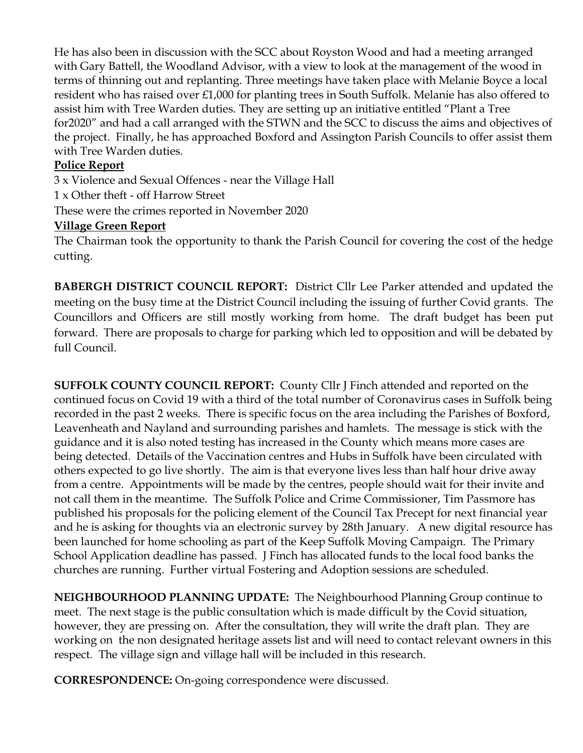He has also been in discussion with the SCC about Royston Wood and had a meeting arranged with Gary Battell, the Woodland Advisor, with a view to look at the management of the wood in terms of thinning out and replanting. Three meetings have taken place with Melanie Boyce a local resident who has raised over £1,000 for planting trees in South Suffolk. Melanie has also offered to assist him with Tree Warden duties. They are setting up an initiative entitled "Plant a Tree for2020" and had a call arranged with the STWN and the SCC to discuss the aims and objectives of the project. Finally, he has approached Boxford and Assington Parish Councils to offer assist them with Tree Warden duties.

### **Police Report**

3 x Violence and Sexual Offences - near the Village Hall 1 x Other theft - off Harrow Street These were the crimes reported in November 2020

#### **Village Green Report**

The Chairman took the opportunity to thank the Parish Council for covering the cost of the hedge cutting.

**BABERGH DISTRICT COUNCIL REPORT:** District Cllr Lee Parker attended and updated the meeting on the busy time at the District Council including the issuing of further Covid grants. The Councillors and Officers are still mostly working from home. The draft budget has been put forward. There are proposals to charge for parking which led to opposition and will be debated by full Council.

**SUFFOLK COUNTY COUNCIL REPORT:** County Cllr J Finch attended and reported on the continued focus on Covid 19 with a third of the total number of Coronavirus cases in Suffolk being recorded in the past 2 weeks. There is specific focus on the area including the Parishes of Boxford, Leavenheath and Nayland and surrounding parishes and hamlets. The message is stick with the guidance and it is also noted testing has increased in the County which means more cases are being detected. Details of the Vaccination centres and Hubs in Suffolk have been circulated with others expected to go live shortly. The aim is that everyone lives less than half hour drive away from a centre. Appointments will be made by the centres, people should wait for their invite and not call them in the meantime. The Suffolk Police and Crime Commissioner, Tim Passmore has published his proposals for the policing element of the Council Tax Precept for next financial year and he is asking for thoughts via an electronic survey by 28th January. A new digital resource has been launched for home schooling as part of the Keep Suffolk Moving Campaign. The Primary School Application deadline has passed. J Finch has allocated funds to the local food banks the churches are running. Further virtual Fostering and Adoption sessions are scheduled.

**NEIGHBOURHOOD PLANNING UPDATE:** The Neighbourhood Planning Group continue to meet. The next stage is the public consultation which is made difficult by the Covid situation, however, they are pressing on. After the consultation, they will write the draft plan. They are working on the non designated heritage assets list and will need to contact relevant owners in this respect. The village sign and village hall will be included in this research.

**CORRESPONDENCE:** On-going correspondence were discussed.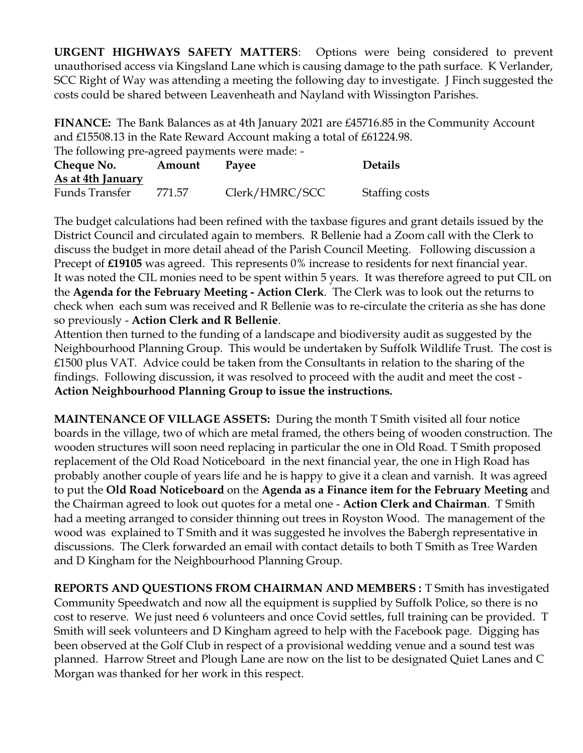**URGENT HIGHWAYS SAFETY MATTERS**: Options were being considered to prevent unauthorised access via Kingsland Lane which is causing damage to the path surface. K Verlander, SCC Right of Way was attending a meeting the following day to investigate. J Finch suggested the costs could be shared between Leavenheath and Nayland with Wissington Parishes.

**FINANCE:** The Bank Balances as at 4th January 2021 are £45716.85 in the Community Account and £15508.13 in the Rate Reward Account making a total of £61224.98.

The following pre-agreed payments were made: -

| Cheque No.        | Amount | Payee          | <b>Details</b> |
|-------------------|--------|----------------|----------------|
| As at 4th January |        |                |                |
| Funds Transfer    | 771.57 | Clerk/HMRC/SCC | Staffing costs |

The budget calculations had been refined with the taxbase figures and grant details issued by the District Council and circulated again to members. R Bellenie had a Zoom call with the Clerk to discuss the budget in more detail ahead of the Parish Council Meeting. Following discussion a Precept of **£19105** was agreed. This represents 0% increase to residents for next financial year. It was noted the CIL monies need to be spent within 5 years. It was therefore agreed to put CIL on the **Agenda for the February Meeting - Action Clerk**. The Clerk was to look out the returns to check when each sum was received and R Bellenie was to re-circulate the criteria as she has done so previously - **Action Clerk and R Bellenie**.

Attention then turned to the funding of a landscape and biodiversity audit as suggested by the Neighbourhood Planning Group. This would be undertaken by Suffolk Wildlife Trust. The cost is £1500 plus VAT. Advice could be taken from the Consultants in relation to the sharing of the findings. Following discussion, it was resolved to proceed with the audit and meet the cost - **Action Neighbourhood Planning Group to issue the instructions.** 

**MAINTENANCE OF VILLAGE ASSETS:** During the month T Smith visited all four notice boards in the village, two of which are metal framed, the others being of wooden construction. The wooden structures will soon need replacing in particular the one in Old Road. T Smith proposed replacement of the Old Road Noticeboard in the next financial year, the one in High Road has probably another couple of years life and he is happy to give it a clean and varnish. It was agreed to put the **Old Road Noticeboard** on the **Agenda as a Finance item for the February Meeting** and the Chairman agreed to look out quotes for a metal one - **Action Clerk and Chairman**. T Smith had a meeting arranged to consider thinning out trees in Royston Wood. The management of the wood was explained to T Smith and it was suggested he involves the Babergh representative in discussions. The Clerk forwarded an email with contact details to both T Smith as Tree Warden and D Kingham for the Neighbourhood Planning Group.

**REPORTS AND QUESTIONS FROM CHAIRMAN AND MEMBERS :** T Smith has investigated Community Speedwatch and now all the equipment is supplied by Suffolk Police, so there is no cost to reserve. We just need 6 volunteers and once Covid settles, full training can be provided. T Smith will seek volunteers and D Kingham agreed to help with the Facebook page. Digging has been observed at the Golf Club in respect of a provisional wedding venue and a sound test was planned. Harrow Street and Plough Lane are now on the list to be designated Quiet Lanes and C Morgan was thanked for her work in this respect.